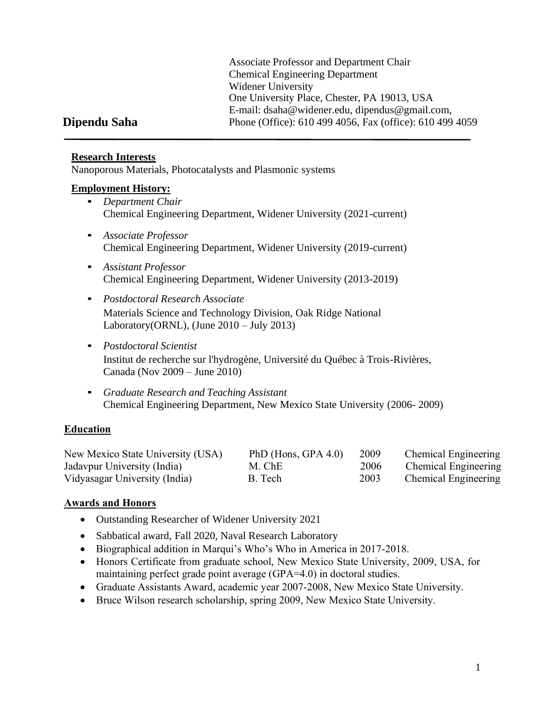Associate Professor and Department Chair Chemical Engineering Department Widener University One University Place, Chester, PA 19013, USA E-mail: [dsaha@widener.edu,](mailto:dsaha@widener.edu) [dipendus@gmail.com,](mailto:dipendus@gmail.com) Phone (Office): 610 499 4056, Fax (office): 610 499 4059

# **Dipendu Saha**

## **Research Interests**

Nanoporous Materials, Photocatalysts and Plasmonic systems

## **Employment History:**

- *Department Chair* Chemical Engineering Department, Widener University (2021-current)
- *Associate Professor* Chemical Engineering Department, Widener University (2019-current)
- *Assistant Professor* Chemical Engineering Department, Widener University (2013-2019)
- *Postdoctoral Research Associate* Materials Science and Technology Division, Oak Ridge National Laboratory(ORNL), (June 2010 – July 2013)
- *Postdoctoral Scientist* Institut de recherche sur l'hydrogène, Université du Québec à Trois-Rivières, Canada (Nov 2009 – June 2010)
- *Graduate Research and Teaching Assistant* Chemical Engineering Department, New Mexico State University (2006- 2009)

# **Education**

| New Mexico State University (USA) | PhD (Hons, GPA $4.0$ ) | 2009 | <b>Chemical Engineering</b> |
|-----------------------------------|------------------------|------|-----------------------------|
| Jadavpur University (India)       | M. ChE                 | 2006 | <b>Chemical Engineering</b> |
| Vidyasagar University (India)     | B. Tech                | 2003 | <b>Chemical Engineering</b> |

# **Awards and Honors**

- Outstanding Researcher of Widener University 2021
- Sabbatical award, Fall 2020, Naval Research Laboratory
- Biographical addition in Marqui's Who's Who in America in 2017-2018.
- Honors Certificate from graduate school, New Mexico State University, 2009, USA, for maintaining perfect grade point average (GPA=4.0) in doctoral studies.
- Graduate Assistants Award, academic year 2007-2008, New Mexico State University.
- Bruce Wilson research scholarship, spring 2009, New Mexico State University.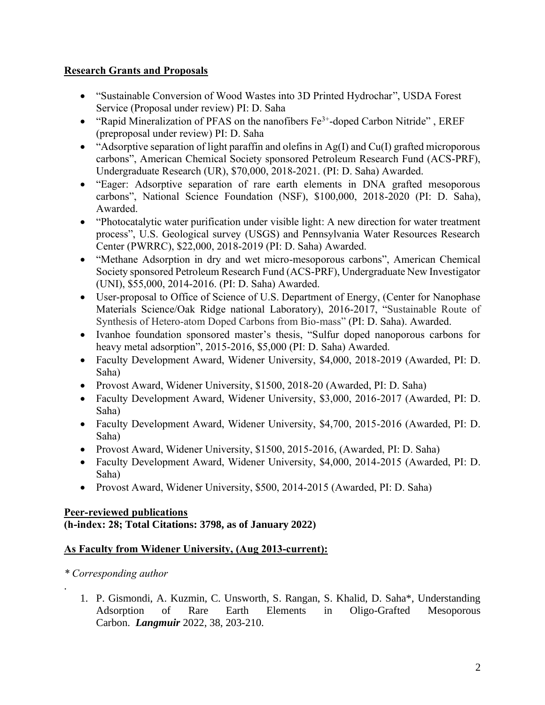## **Research Grants and Proposals**

- "Sustainable Conversion of Wood Wastes into 3D Printed Hydrochar", USDA Forest Service (Proposal under review) PI: D. Saha
- "Rapid Mineralization of PFAS on the nanofibers  $Fe^{3+}$ -doped Carbon Nitride", EREF (preproposal under review) PI: D. Saha
- "Adsorptive separation of light paraffin and olefins in  $Ag(I)$  and  $Cu(I)$  grafted microporous carbons", American Chemical Society sponsored Petroleum Research Fund (ACS-PRF), Undergraduate Research (UR), \$70,000, 2018-2021. (PI: D. Saha) Awarded.
- "Eager: Adsorptive separation of rare earth elements in DNA grafted mesoporous carbons", National Science Foundation (NSF), \$100,000, 2018-2020 (PI: D. Saha), Awarded.
- "Photocatalytic water purification under visible light: A new direction for water treatment process", U.S. Geological survey (USGS) and Pennsylvania Water Resources Research Center (PWRRC), \$22,000, 2018-2019 (PI: D. Saha) Awarded.
- "Methane Adsorption in dry and wet micro-mesoporous carbons", American Chemical Society sponsored Petroleum Research Fund (ACS-PRF), Undergraduate New Investigator (UNI), \$55,000, 2014-2016. (PI: D. Saha) Awarded.
- User-proposal to Office of Science of U.S. Department of Energy, (Center for Nanophase Materials Science/Oak Ridge national Laboratory), 2016-2017, "Sustainable Route of Synthesis of Hetero-atom Doped Carbons from Bio-mass" (PI: D. Saha). Awarded.
- Ivanhoe foundation sponsored master's thesis, "Sulfur doped nanoporous carbons for heavy metal adsorption", 2015-2016, \$5,000 (PI: D. Saha) Awarded.
- Faculty Development Award, Widener University, \$4,000, 2018-2019 (Awarded, PI: D. Saha)
- Provost Award, Widener University, \$1500, 2018-20 (Awarded, PI: D. Saha)
- Faculty Development Award, Widener University, \$3,000, 2016-2017 (Awarded, PI: D. Saha)
- Faculty Development Award, Widener University, \$4,700, 2015-2016 (Awarded, PI: D. Saha)
- Provost Award, Widener University, \$1500, 2015-2016, (Awarded, PI: D. Saha)
- Faculty Development Award, Widener University, \$4,000, 2014-2015 (Awarded, PI: D. Saha)
- Provost Award, Widener University, \$500, 2014-2015 (Awarded, PI: D. Saha)

# **Peer-reviewed publications**

# **(h-index: 28; Total Citations: 3798, as of January 2022)**

# **As Faculty from Widener University, (Aug 2013-current):**

# *\* Corresponding author*

.

1. P. Gismondi, A. Kuzmin, C. Unsworth, S. Rangan, S. Khalid, D. Saha\*, Understanding Adsorption of Rare Earth Elements in Oligo-Grafted Mesoporous Carbon. *Langmuir* 2022, 38, 203-210.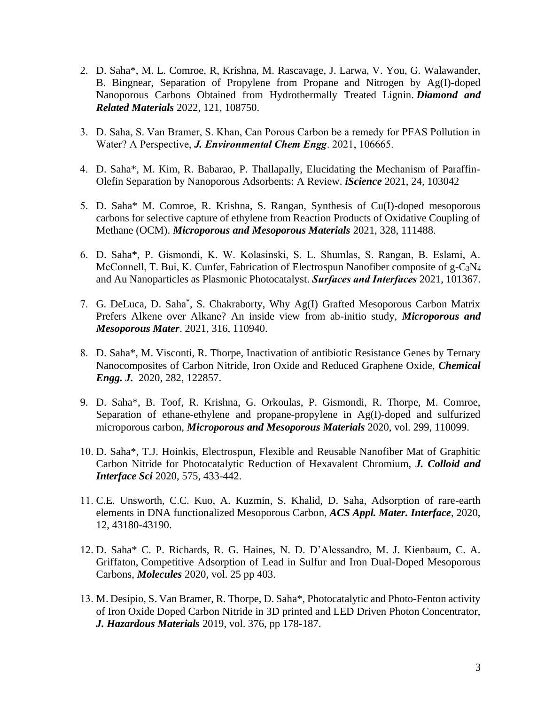- 2. D. Saha\*, M. L. Comroe, R, Krishna, M. Rascavage, J. Larwa, V. You, G. Walawander, B. Bingnear, Separation of Propylene from Propane and Nitrogen by Ag(I)-doped Nanoporous Carbons Obtained from Hydrothermally Treated Lignin. *Diamond and Related Materials* 2022, 121, 108750.
- 3. D. Saha, S. Van Bramer, S. Khan, Can Porous Carbon be a remedy for PFAS Pollution in Water? A Perspective, *J. Environmental Chem Engg*. 2021, 106665.
- 4. D. Saha\*, M. Kim, R. Babarao, P. Thallapally, Elucidating the Mechanism of Paraffin-Olefin Separation by Nanoporous Adsorbents: A Review. *iScience* 2021, 24, 103042
- 5. D. Saha\* M. Comroe, R. Krishna, S. Rangan, Synthesis of Cu(I)-doped mesoporous carbons for selective capture of ethylene from Reaction Products of Oxidative Coupling of Methane (OCM). *Microporous and Mesoporous Materials* 2021, 328, 111488.
- 6. D. Saha\*, P. Gismondi, K. W. Kolasinski, S. L. Shumlas, S. Rangan, B. Eslami, A. McConnell, T. Bui, K. Cunfer, Fabrication of Electrospun Nanofiber composite of g-C3N<sup>4</sup> and Au Nanoparticles as Plasmonic Photocatalyst. *Surfaces and Interfaces* 2021, 101367.
- 7. G. DeLuca, D. Saha\* , S. Chakraborty, Why Ag(I) Grafted Mesoporous Carbon Matrix Prefers Alkene over Alkane? An inside view from ab-initio study, *Microporous and Mesoporous Mater*. 2021, 316, 110940.
- 8. D. Saha\*, M. Visconti, R. Thorpe, Inactivation of antibiotic Resistance Genes by Ternary Nanocomposites of Carbon Nitride, Iron Oxide and Reduced Graphene Oxide, *Chemical Engg. J.* 2020, 282, 122857.
- 9. D. Saha\*, B. Toof, R. Krishna, G. Orkoulas, P. Gismondi, R. Thorpe, M. Comroe, Separation of ethane-ethylene and propane-propylene in Ag(I)-doped and sulfurized microporous carbon, *Microporous and Mesoporous Materials* 2020, vol. 299, 110099.
- 10. D. Saha\*, T.J. Hoinkis, Electrospun, Flexible and Reusable Nanofiber Mat of Graphitic Carbon Nitride for Photocatalytic Reduction of Hexavalent Chromium, *J. Colloid and Interface Sci* 2020, 575, 433-442.
- 11. C.E. Unsworth, C.C. Kuo, A. Kuzmin, S. Khalid, D. Saha, Adsorption of rare-earth elements in DNA functionalized Mesoporous Carbon, *ACS Appl. Mater. Interface*, 2020, 12, 43180-43190.
- 12. D. Saha\* C. P. Richards, R. G. Haines, N. D. D'Alessandro, M. J. Kienbaum, C. A. Griffaton, Competitive Adsorption of Lead in Sulfur and Iron Dual-Doped Mesoporous Carbons, *Molecules* 2020, vol. 25 pp 403.
- 13. M. Desipio, S. Van Bramer, R. Thorpe, D. Saha\*, Photocatalytic and Photo-Fenton activity of Iron Oxide Doped Carbon Nitride in 3D printed and LED Driven Photon Concentrator, *J. Hazardous Materials* 2019, vol. 376, pp 178-187.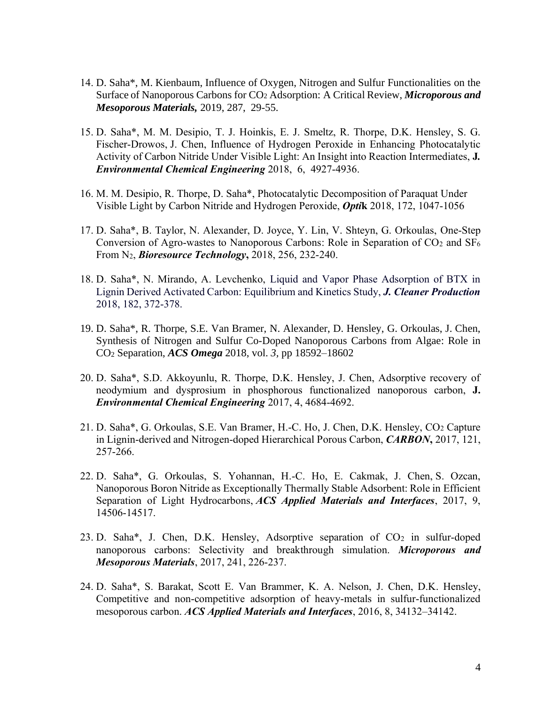- 14. D. Saha\*, M. Kienbaum, Influence of Oxygen, Nitrogen and Sulfur Functionalities on the Surface of Nanoporous Carbons for CO<sup>2</sup> Adsorption: A Critical Review, *Microporous and Mesoporous Materials,* 2019, 287, 29-55.
- 15. D. Saha\*, M. M. Desipio, T. J. Hoinkis, E. J. Smeltz, R. Thorpe, D.K. Hensley, S. G. Fischer-Drowos, J. Chen, Influence of Hydrogen Peroxide in Enhancing Photocatalytic Activity of Carbon Nitride Under Visible Light: An Insight into Reaction Intermediates, **J***. Environmental Chemical Engineering* 2018, 6, 4927-4936.
- 16. M. M. Desipio, R. Thorpe, D. Saha\*, Photocatalytic Decomposition of Paraquat Under Visible Light by Carbon Nitride and Hydrogen Peroxide, *Opti***k** 2018, 172, 1047-1056
- 17. D. Saha\*, B. Taylor, N. Alexander, D. Joyce, Y. Lin, V. Shteyn, G. Orkoulas, One-Step Conversion of Agro-wastes to Nanoporous Carbons: Role in Separation of  $CO<sub>2</sub>$  and  $SF<sub>6</sub>$ From N2, *Bioresource Technology***,** 2018, 256, 232-240.
- 18. D. Saha\*, N. Mirando, A. Levchenko, Liquid and Vapor Phase Adsorption of BTX in Lignin Derived Activated Carbon: Equilibrium and Kinetics Study, *J. Cleaner Production* 2018, 182, 372-378.
- 19. D. Saha\*, R. Thorpe, S.E. Van Bramer, N. Alexander, D. Hensley, G. Orkoulas, J. Chen, Synthesis of Nitrogen and Sulfur Co-Doped Nanoporous Carbons from Algae: Role in CO<sup>2</sup> Separation, *ACS Omega* 2018, vol. *3,* pp 18592–18602
- 20. D. Saha\*, S.D. Akkoyunlu, R. Thorpe, D.K. Hensley, J. Chen, Adsorptive recovery of neodymium and dysprosium in phosphorous functionalized nanoporous carbon, **J.**  *Environmental Chemical Engineering* 2017, 4, 4684-4692.
- 21. D. Saha\*, G. Orkoulas, S.E. Van Bramer, H.-C. Ho, J. Chen, D.K. Hensley, CO<sup>2</sup> Capture in Lignin-derived and Nitrogen-doped Hierarchical Porous Carbon, *CARBON***,** 2017, 121, 257-266.
- 22. D. Saha\*, G. Orkoulas, S. Yohannan, H.-C. Ho, E. Cakmak, J. Chen, S. Ozcan, Nanoporous Boron Nitride as Exceptionally Thermally Stable Adsorbent: Role in Efficient Separation of Light Hydrocarbons, *ACS Applied Materials and Interfaces*, 2017, 9, 14506-14517.
- 23. D. Saha\*, J. Chen, D.K. Hensley, Adsorptive separation of  $CO<sub>2</sub>$  in sulfur-doped nanoporous carbons: Selectivity and breakthrough simulation. *Microporous and Mesoporous Materials*, 2017, 241, 226-237.
- 24. D. Saha\*, S. Barakat, Scott E. Van Brammer, K. A. Nelson, J. Chen, D.K. Hensley, Competitive and non-competitive adsorption of heavy-metals in sulfur-functionalized mesoporous carbon. *ACS Applied Materials and Interfaces*, 2016, 8, 34132–34142.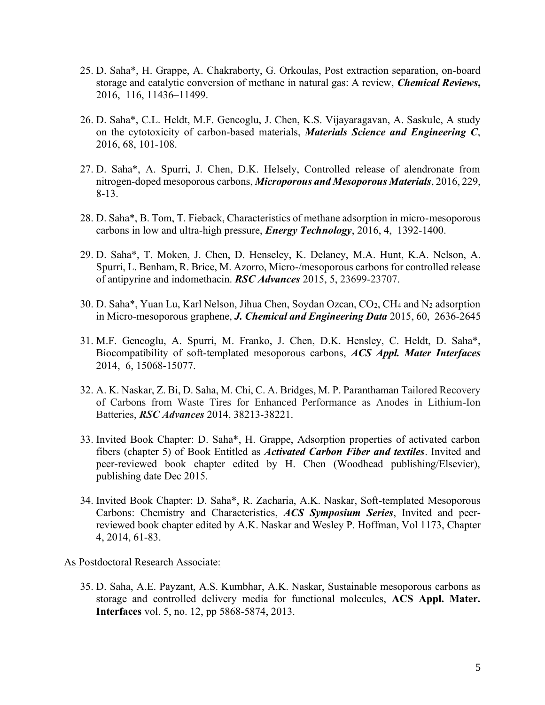- 25. D. Saha\*, H. Grappe, A. Chakraborty, G. Orkoulas, Post extraction separation, on-board storage and catalytic conversion of methane in natural gas: A review, *Chemical Reviews***,**  2016, 116, 11436–11499.
- 26. D. Saha\*, C.L. Heldt, M.F. Gencoglu, J. Chen, K.S. Vijayaragavan, A. Saskule, A study on the cytotoxicity of carbon-based materials, *Materials Science and Engineering C*, 2016, 68, 101-108.
- 27. D. Saha\*, A. Spurri, J. Chen, D.K. Helsely, Controlled release of alendronate from nitrogen-doped mesoporous carbons, *Microporous and Mesoporous Materials*, 2016, 229, 8-13.
- 28. D. Saha\*, B. Tom, T. Fieback, Characteristics of methane adsorption in micro-mesoporous carbons in low and ultra-high pressure, *Energy Technology*, 2016, 4, 1392-1400.
- 29. D. Saha\*, T. Moken, J. Chen, D. Henseley, K. Delaney, M.A. Hunt, K.A. Nelson, A. Spurri, L. Benham, R. Brice, M. Azorro, Micro-/mesoporous carbons for controlled release of antipyrine and indomethacin. *RSC Advances* 2015, 5, 23699-23707.
- 30. D. Saha\*, Yuan Lu, Karl Nelson, Jihua Chen, Soydan Ozcan, CO2, CH<sup>4</sup> and N<sup>2</sup> adsorption in Micro-mesoporous graphene, *J. Chemical and Engineering Data* 2015, 60, 2636-2645
- 31. M.F. Gencoglu, A. Spurri, M. Franko, J. Chen, D.K. Hensley, C. Heldt, D. Saha\*, Biocompatibility of soft-templated mesoporous carbons, *ACS Appl. Mater Interfaces* 2014, 6, 15068-15077.
- 32. A. K. Naskar, Z. Bi, D. Saha, M. Chi, C. A. Bridges, M. P. Paranthaman Tailored Recovery of Carbons from Waste Tires for Enhanced Performance as Anodes in Lithium-Ion Batteries, *RSC Advances* 2014, 38213-38221.
- 33. Invited Book Chapter: D. Saha\*, H. Grappe, Adsorption properties of activated carbon fibers (chapter 5) of Book Entitled as *Activated Carbon Fiber and textiles*. Invited and peer-reviewed book chapter edited by H. Chen (Woodhead publishing/Elsevier), publishing date Dec 2015.
- 34. Invited Book Chapter: D. Saha\*, R. Zacharia, A.K. Naskar, Soft-templated Mesoporous Carbons: Chemistry and Characteristics, *ACS Symposium Series*, Invited and peerreviewed book chapter edited by A.K. Naskar and Wesley P. Hoffman, Vol 1173, Chapter 4, 2014, 61-83.

#### As Postdoctoral Research Associate:

35. D. Saha, A.E. Payzant, A.S. Kumbhar, A.K. Naskar, Sustainable mesoporous carbons as storage and controlled delivery media for functional molecules, **ACS Appl. Mater. Interfaces** vol. 5, no. 12, pp 5868-5874, 2013.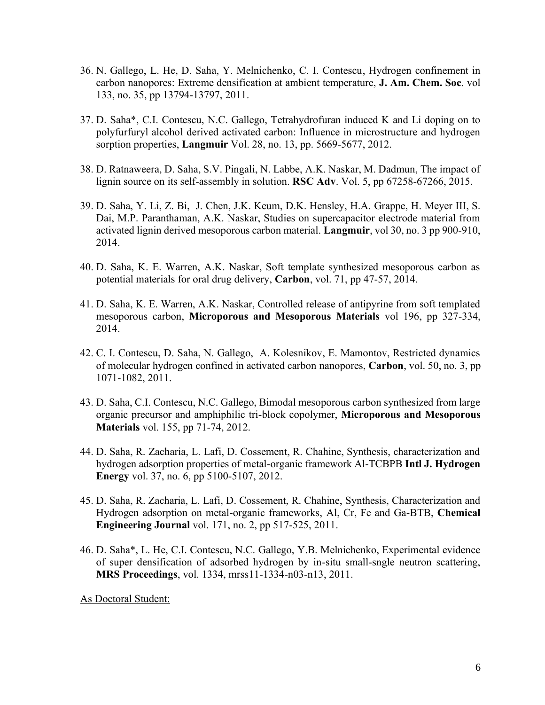- 36. N. Gallego, L. He, D. Saha, Y. Melnichenko, C. I. Contescu, Hydrogen confinement in carbon nanopores: Extreme densification at ambient temperature, **J. Am. Chem. Soc**. vol 133, no. 35, pp 13794-13797, 2011.
- 37. D. Saha\*, C.I. Contescu, N.C. Gallego, Tetrahydrofuran induced K and Li doping on to polyfurfuryl alcohol derived activated carbon: Influence in microstructure and hydrogen sorption properties, **Langmuir** Vol. 28, no. 13, pp. 5669-5677, 2012.
- 38. D. Ratnaweera, D. Saha, S.V. Pingali, N. Labbe, A.K. Naskar, M. Dadmun, The impact of lignin source on its self-assembly in solution. **RSC Adv**. Vol. 5, pp 67258-67266, 2015.
- 39. D. Saha, Y. Li, Z. Bi, J. Chen, J.K. Keum, D.K. Hensley, H.A. Grappe, H. Meyer III, S. Dai, M.P. Paranthaman, A.K. Naskar, Studies on supercapacitor electrode material from activated lignin derived mesoporous carbon material. **Langmuir**, vol 30, no. 3 pp 900-910, 2014.
- 40. D. Saha, K. E. Warren, A.K. Naskar, Soft template synthesized mesoporous carbon as potential materials for oral drug delivery, **Carbon**, vol. 71, pp 47-57, 2014.
- 41. D. Saha, K. E. Warren, A.K. Naskar, Controlled release of antipyrine from soft templated mesoporous carbon, **Microporous and Mesoporous Materials** vol 196, pp 327-334, 2014.
- 42. C. I. Contescu, D. Saha, N. Gallego, A. Kolesnikov, E. Mamontov, Restricted dynamics of molecular hydrogen confined in activated carbon nanopores, **Carbon**, vol. 50, no. 3, pp 1071-1082, 2011.
- 43. D. Saha, C.I. Contescu, N.C. Gallego, Bimodal mesoporous carbon synthesized from large organic precursor and amphiphilic tri-block copolymer, **Microporous and Mesoporous Materials** vol. 155, pp 71-74, 2012.
- 44. D. Saha, R. Zacharia, L. Lafi, D. Cossement, R. Chahine, Synthesis, characterization and hydrogen adsorption properties of metal-organic framework Al-TCBPB **Intl J. Hydrogen Energy** vol. 37, no. 6, pp 5100-5107, 2012.
- 45. D. Saha, R. Zacharia, L. Lafi, D. Cossement, R. Chahine, Synthesis, Characterization and Hydrogen adsorption on metal-organic frameworks, Al, Cr, Fe and Ga-BTB, **Chemical Engineering Journal** vol. 171, no. 2, pp 517-525, 2011.
- 46. D. Saha\*, L. He, C.I. Contescu, N.C. Gallego, Y.B. Melnichenko, Experimental evidence of super densification of adsorbed hydrogen by in-situ small-sngle neutron scattering, **MRS Proceedings**, vol. 1334, mrss11-1334-n03-n13, 2011.

As Doctoral Student: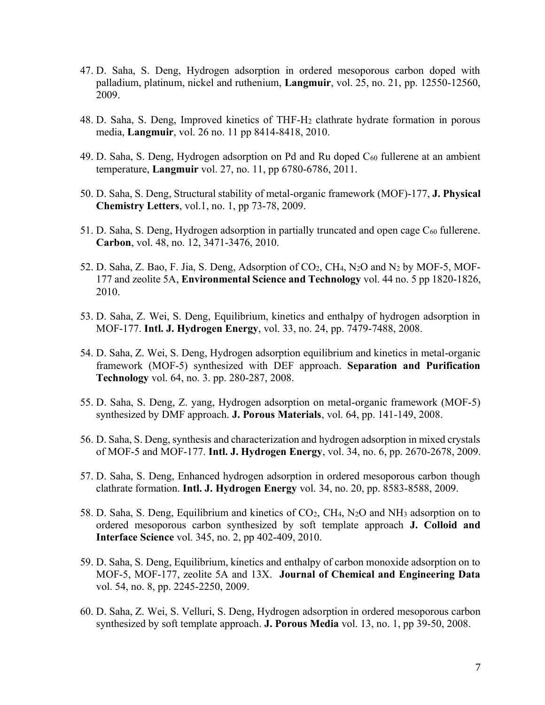- 47. D. Saha, S. Deng, Hydrogen adsorption in ordered mesoporous carbon doped with palladium, platinum, nickel and ruthenium, **Langmuir**, vol. 25, no. 21, pp. 12550-12560, 2009.
- 48. D. Saha, S. Deng, Improved kinetics of THF-H<sup>2</sup> clathrate hydrate formation in porous media, **Langmuir**, vol. 26 no. 11 pp 8414-8418, 2010.
- 49. D. Saha, S. Deng, Hydrogen adsorption on Pd and Ru doped  $C_{60}$  fullerene at an ambient temperature, **Langmuir** vol. 27, no. 11, pp 6780-6786, 2011.
- 50. D. Saha, S. Deng, Structural stability of metal-organic framework (MOF)-177, **J. Physical Chemistry Letters**, vol.1, no. 1, pp 73-78, 2009.
- 51. D. Saha, S. Deng, Hydrogen adsorption in partially truncated and open cage C<sub>60</sub> fullerene. **Carbon**, vol. 48, no. 12, 3471-3476, 2010.
- 52. D. Saha, Z. Bao, F. Jia, S. Deng, Adsorption of CO2, CH4, N2O and N<sup>2</sup> by MOF-5, MOF-177 and zeolite 5A, **Environmental Science and Technology** vol. 44 no. 5 pp 1820-1826, 2010.
- 53. D. Saha, Z. Wei, S. Deng, Equilibrium, kinetics and enthalpy of hydrogen adsorption in MOF-177. **Intl. J. Hydrogen Energy**, vol. 33, no. 24, pp. 7479-7488, 2008.
- 54. D. Saha, Z. Wei, S. Deng, Hydrogen adsorption equilibrium and kinetics in metal-organic framework (MOF-5) synthesized with DEF approach. **Separation and Purification Technology** vol. 64, no. 3. pp. 280-287, 2008.
- 55. D. Saha, S. Deng, Z. yang, Hydrogen adsorption on metal-organic framework (MOF-5) synthesized by DMF approach. **J. Porous Materials**, vol. 64, pp. 141-149, 2008.
- 56. D. Saha, S. Deng, synthesis and characterization and hydrogen adsorption in mixed crystals of MOF-5 and MOF-177. **Intl. J. Hydrogen Energy**, vol. 34, no. 6, pp. 2670-2678, 2009.
- 57. D. Saha, S. Deng, Enhanced hydrogen adsorption in ordered mesoporous carbon though clathrate formation. **Intl. J. Hydrogen Energy** vol. 34, no. 20, pp. 8583-8588, 2009.
- 58. D. Saha, S. Deng, Equilibrium and kinetics of CO2, CH4, N2O and NH<sup>3</sup> adsorption on to ordered mesoporous carbon synthesized by soft template approach **J. Colloid and Interface Science** vol. 345, no. 2, pp 402-409, 2010.
- 59. D. Saha, S. Deng, Equilibrium, kinetics and enthalpy of carbon monoxide adsorption on to MOF-5, MOF-177, zeolite 5A and 13X. **Journal of Chemical and Engineering Data** vol. 54, no. 8, pp. 2245-2250, 2009.
- 60. D. Saha, Z. Wei, S. Velluri, S. Deng, Hydrogen adsorption in ordered mesoporous carbon synthesized by soft template approach. **J. Porous Media** vol. 13, no. 1, pp 39-50, 2008.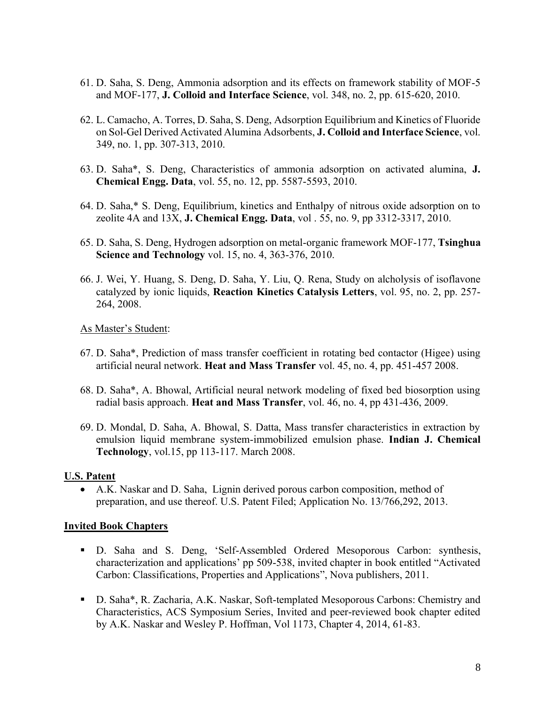- 61. D. Saha, S. Deng, Ammonia adsorption and its effects on framework stability of MOF-5 and MOF-177, **J. Colloid and Interface Science**, vol. 348, no. 2, pp. 615-620, 2010.
- 62. L. Camacho, A. Torres, D. Saha, S. Deng, Adsorption Equilibrium and Kinetics of Fluoride on Sol-Gel Derived Activated Alumina Adsorbents, **J. Colloid and Interface Science**, vol. 349, no. 1, pp. 307-313, 2010.
- 63. D. Saha\*, S. Deng, Characteristics of ammonia adsorption on activated alumina, **J. Chemical Engg. Data**, vol. 55, no. 12, pp. 5587-5593, 2010.
- 64. D. Saha,\* S. Deng, Equilibrium, kinetics and Enthalpy of nitrous oxide adsorption on to zeolite 4A and 13X, **J. Chemical Engg. Data**, vol . 55, no. 9, pp 3312-3317, 2010.
- 65. D. Saha, S. Deng, Hydrogen adsorption on metal-organic framework MOF-177, **Tsinghua Science and Technology** vol. 15, no. 4, 363-376, 2010.
- 66. J. Wei, Y. Huang, S. Deng, D. Saha, Y. Liu, Q. Rena, Study on alcholysis of isoflavone catalyzed by ionic liquids, **Reaction Kinetics Catalysis Letters**, vol. 95, no. 2, pp. 257- 264, 2008.

As Master's Student:

- 67. D. Saha\*, Prediction of mass transfer coefficient in rotating bed contactor (Higee) using artificial neural network. **Heat and Mass Transfer** vol. 45, no. 4, pp. 451-457 2008.
- 68. D. Saha\*, A. Bhowal, Artificial neural network modeling of fixed bed biosorption using radial basis approach. **Heat and Mass Transfer**, vol. 46, no. 4, pp 431-436, 2009.
- 69. D. Mondal, D. Saha, A. Bhowal, S. Datta, Mass transfer characteristics in extraction by emulsion liquid membrane system-immobilized emulsion phase. **Indian J. Chemical Technology**, vol.15, pp 113-117. March 2008.

## **U.S. Patent**

• A.K. Naskar and D. Saha, Lignin derived porous carbon composition, method of preparation, and use thereof. U.S. Patent Filed; Application No. 13/766,292, 2013.

## **Invited Book Chapters**

- D. Saha and S. Deng, 'Self-Assembled Ordered Mesoporous Carbon: synthesis, characterization and applications' pp 509-538, invited chapter in book entitled "Activated Carbon: Classifications, Properties and Applications", Nova publishers, 2011.
- D. Saha\*, R. Zacharia, A.K. Naskar, Soft-templated Mesoporous Carbons: Chemistry and Characteristics, ACS Symposium Series, Invited and peer-reviewed book chapter edited by A.K. Naskar and Wesley P. Hoffman, Vol 1173, Chapter 4, 2014, 61-83.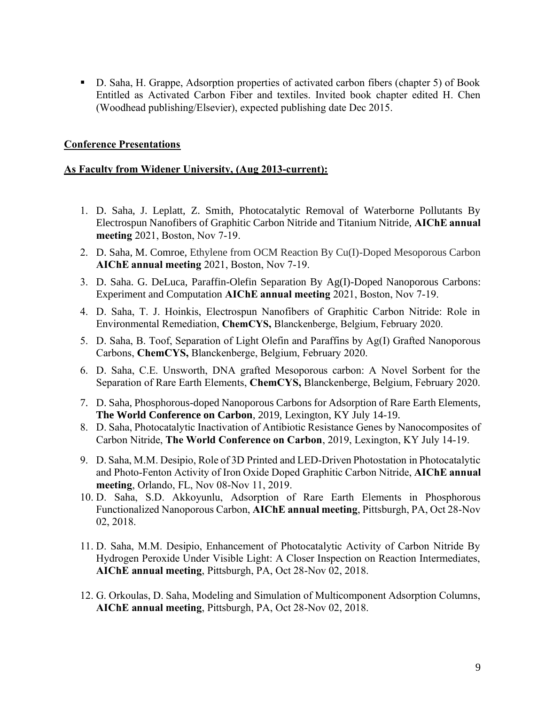▪ D. Saha, H. Grappe, Adsorption properties of activated carbon fibers (chapter 5) of Book Entitled as Activated Carbon Fiber and textiles. Invited book chapter edited H. Chen (Woodhead publishing/Elsevier), expected publishing date Dec 2015.

## **Conference Presentations**

#### **As Faculty from Widener University, (Aug 2013-current):**

- 1. D. Saha, J. Leplatt, Z. Smith, Photocatalytic Removal of Waterborne Pollutants By Electrospun Nanofibers of Graphitic Carbon Nitride and Titanium Nitride, **AIChE annual meeting** 2021, Boston, Nov 7-19.
- 2. D. Saha, M. Comroe, Ethylene from OCM Reaction By Cu(I)-Doped Mesoporous Carbon **AIChE annual meeting** 2021, Boston, Nov 7-19.
- 3. D. Saha. G. DeLuca, Paraffin-Olefin Separation By Ag(I)-Doped Nanoporous Carbons: Experiment and Computation **AIChE annual meeting** 2021, Boston, Nov 7-19.
- 4. D. Saha, T. J. Hoinkis, Electrospun Nanofibers of Graphitic Carbon Nitride: Role in Environmental Remediation, **ChemCYS,** Blanckenberge, Belgium, February 2020.
- 5. D. Saha, B. Toof, Separation of Light Olefin and Paraffins by Ag(I) Grafted Nanoporous Carbons, **ChemCYS,** Blanckenberge, Belgium, February 2020.
- 6. D. Saha, C.E. Unsworth, DNA grafted Mesoporous carbon: A Novel Sorbent for the Separation of Rare Earth Elements, **ChemCYS,** Blanckenberge, Belgium, February 2020.
- 7. D. Saha, Phosphorous-doped Nanoporous Carbons for Adsorption of Rare Earth Elements, **The World Conference on Carbon**, 2019, Lexington, KY July 14-19.
- 8. D. Saha, Photocatalytic Inactivation of Antibiotic Resistance Genes by Nanocomposites of Carbon Nitride, **The World Conference on Carbon**, 2019, Lexington, KY July 14-19.
- 9. D. Saha, M.M. Desipio, Role of 3D Printed and LED-Driven Photostation in Photocatalytic and Photo-Fenton Activity of Iron Oxide Doped Graphitic Carbon Nitride, **AIChE annual meeting**, Orlando, FL, Nov 08-Nov 11, 2019.
- 10. D. Saha, S.D. Akkoyunlu, Adsorption of Rare Earth Elements in Phosphorous Functionalized Nanoporous Carbon, **AIChE annual meeting**, Pittsburgh, PA, Oct 28-Nov 02, 2018.
- 11. D. Saha, M.M. Desipio, Enhancement of Photocatalytic Activity of Carbon Nitride By Hydrogen Peroxide Under Visible Light: A Closer Inspection on Reaction Intermediates, **AIChE annual meeting**, Pittsburgh, PA, Oct 28-Nov 02, 2018.
- 12. G. Orkoulas, D. Saha, Modeling and Simulation of Multicomponent Adsorption Columns, **AIChE annual meeting**, Pittsburgh, PA, Oct 28-Nov 02, 2018.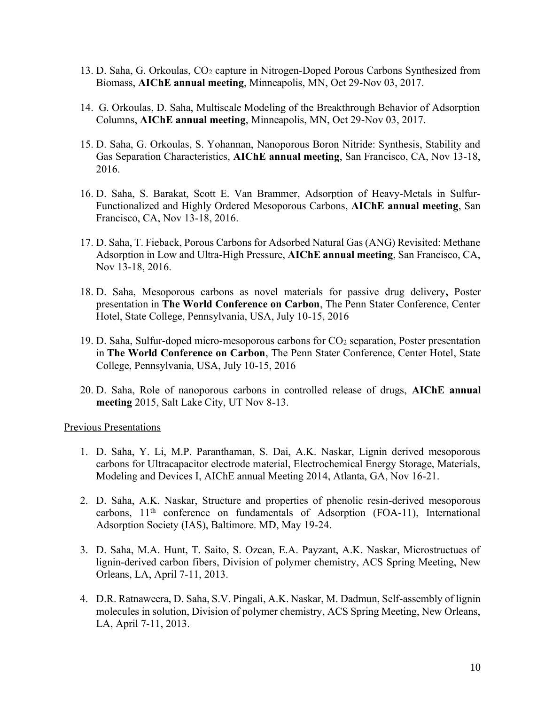- 13. D. Saha, G. Orkoulas, CO<sup>2</sup> capture in Nitrogen-Doped Porous Carbons Synthesized from Biomass, **AIChE annual meeting**, Minneapolis, MN, Oct 29-Nov 03, 2017.
- 14. G. Orkoulas, D. Saha, Multiscale Modeling of the Breakthrough Behavior of Adsorption Columns, **AIChE annual meeting**, Minneapolis, MN, Oct 29-Nov 03, 2017.
- 15. D. Saha, G. Orkoulas, S. Yohannan, Nanoporous Boron Nitride: Synthesis, Stability and Gas Separation Characteristics, **AIChE annual meeting**, San Francisco, CA, Nov 13-18, 2016.
- 16. D. Saha, S. Barakat, Scott E. Van Brammer, Adsorption of Heavy-Metals in Sulfur-Functionalized and Highly Ordered Mesoporous Carbons, **AIChE annual meeting**, San Francisco, CA, Nov 13-18, 2016.
- 17. D. Saha, T. Fieback, Porous Carbons for Adsorbed Natural Gas (ANG) Revisited: Methane Adsorption in Low and Ultra-High Pressure, **AIChE annual meeting**, San Francisco, CA, Nov 13-18, 2016.
- 18. D. Saha, Mesoporous carbons as novel materials for passive drug delivery**,** Poster presentation in **The World Conference on Carbon**, The Penn Stater Conference, Center Hotel, State College, Pennsylvania, USA, July 10-15, 2016
- 19. D. Saha, Sulfur-doped micro-mesoporous carbons for CO<sup>2</sup> separation, Poster presentation in **The World Conference on Carbon**, The Penn Stater Conference, Center Hotel, State College, Pennsylvania, USA, July 10-15, 2016
- 20. D. Saha, Role of nanoporous carbons in controlled release of drugs, **AIChE annual meeting** 2015, Salt Lake City, UT Nov 8-13.

Previous Presentations

- 1. D. Saha, Y. Li, M.P. Paranthaman, S. Dai, A.K. Naskar, Lignin derived mesoporous carbons for Ultracapacitor electrode material, Electrochemical Energy Storage, Materials, Modeling and Devices I, AIChE annual Meeting 2014, Atlanta, GA, Nov 16-21.
- 2. D. Saha, A.K. Naskar, Structure and properties of phenolic resin-derived mesoporous carbons,  $11<sup>th</sup>$  conference on fundamentals of Adsorption (FOA-11), International Adsorption Society (IAS), Baltimore. MD, May 19-24.
- 3. D. Saha, M.A. Hunt, T. Saito, S. Ozcan, E.A. Payzant, A.K. Naskar, Microstructues of lignin-derived carbon fibers, Division of polymer chemistry, ACS Spring Meeting, New Orleans, LA, April 7-11, 2013.
- 4. D.R. Ratnaweera, D. Saha, S.V. Pingali, A.K. Naskar, M. Dadmun, Self-assembly of lignin molecules in solution, Division of polymer chemistry, ACS Spring Meeting, New Orleans, LA, April 7-11, 2013.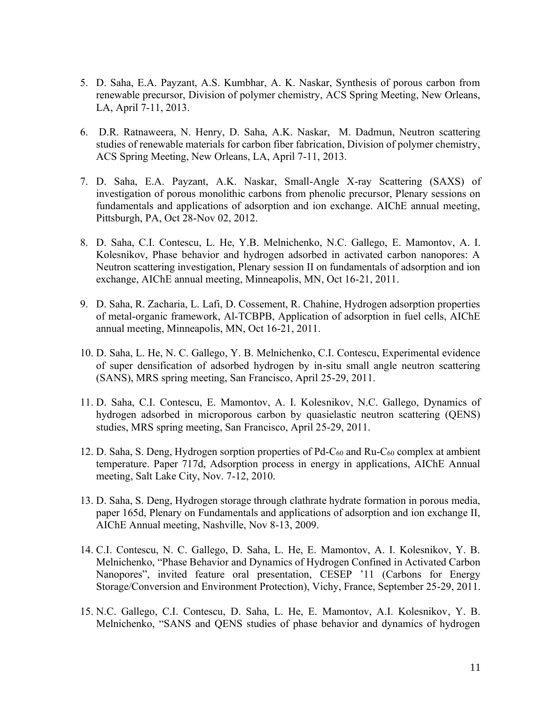- 5. D. Saha, E.A. Payzant, A.S. Kumbhar, A. K. Naskar, Synthesis of porous carbon from renewable precursor, Division of polymer chemistry, ACS Spring Meeting, New Orleans, LA, April 7-11, 2013.
- 6. D.R. Ratnaweera, N. Henry, D. Saha, A.K. Naskar, M. Dadmun, Neutron scattering studies of renewable materials for carbon fiber fabrication, Division of polymer chemistry, ACS Spring Meeting, New Orleans, LA, April 7-11, 2013.
- 7. D. Saha, E.A. Payzant, A.K. Naskar, Small-Angle X-ray Scattering (SAXS) of investigation of porous monolithic carbons from phenolic precursor, Plenary sessions on fundamentals and applications of adsorption and ion exchange. AIChE annual meeting, Pittsburgh, PA, Oct 28-Nov 02, 2012.
- 8. D. Saha, C.I. Contescu, L. He, Y.B. Melnichenko, N.C. Gallego, E. Mamontov, A. I. Kolesnikov, Phase behavior and hydrogen adsorbed in activated carbon nanopores: A Neutron scattering investigation, Plenary session II on fundamentals of adsorption and ion exchange, AIChE annual meeting, Minneapolis, MN, Oct 16-21, 2011.
- 9. D. Saha, R. Zacharia, L. Lafi, D. Cossement, R. Chahine, Hydrogen adsorption properties of metal-organic framework, Al-TCBPB, Application of adsorption in fuel cells, AIChE annual meeting, Minneapolis, MN, Oct 16-21, 2011.
- 10. D. Saha, L. He, N. C. Gallego, Y. B. Melnichenko, C.I. Contescu, Experimental evidence of super densification of adsorbed hydrogen by in-situ small angle neutron scattering (SANS), MRS spring meeting, San Francisco, April 25-29, 2011.
- 11. D. Saha, C.I. Contescu, E. Mamontov, A. I. Kolesnikov, N.C. Gallego, Dynamics of hydrogen adsorbed in microporous carbon by quasielastic neutron scattering (QENS) studies, MRS spring meeting, San Francisco, April 25-29, 2011.
- 12. D. Saha, S. Deng, Hydrogen sorption properties of Pd-C<sup>60</sup> and Ru-C<sup>60</sup> complex at ambient temperature. Paper 717d, Adsorption process in energy in applications, AIChE Annual meeting, Salt Lake City, Nov. 7-12, 2010.
- 13. D. Saha, S. Deng, Hydrogen storage through clathrate hydrate formation in porous media, paper 165d, Plenary on Fundamentals and applications of adsorption and ion exchange II, AIChE Annual meeting, Nashville, Nov 8-13, 2009.
- 14. C.I. Contescu, N. C. Gallego, D. Saha, L. He, E. Mamontov, A. I. Kolesnikov, Y. B. Melnichenko, "Phase Behavior and Dynamics of Hydrogen Confined in Activated Carbon Nanopores", invited feature oral presentation, CESEP '11 (Carbons for Energy Storage/Conversion and Environment Protection), Vichy, France, September 25-29, 2011.
- 15. N.C. Gallego, C.I. Contescu, D. Saha, L. He, E. Mamontov, A.I. Kolesnikov, Y. B. Melnichenko, "SANS and QENS studies of phase behavior and dynamics of hydrogen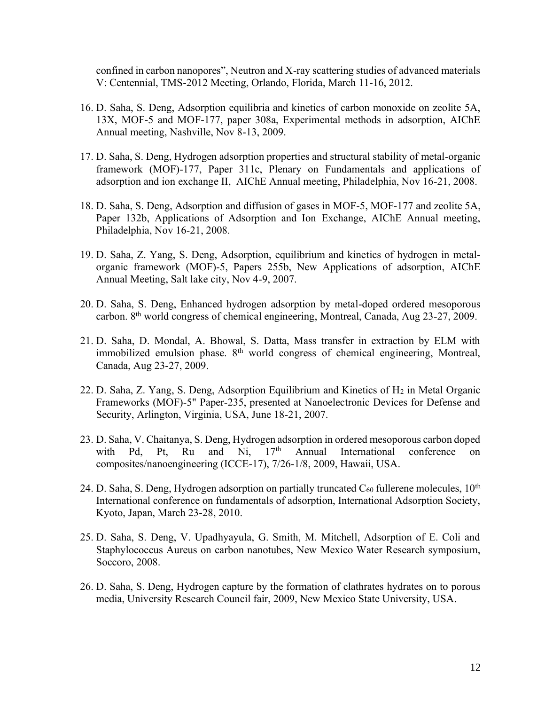confined in carbon nanopores", Neutron and X-ray scattering studies of advanced materials V: Centennial, TMS-2012 Meeting, Orlando, Florida, March 11-16, 2012.

- 16. D. Saha, S. Deng, Adsorption equilibria and kinetics of carbon monoxide on zeolite 5A, 13X, MOF-5 and MOF-177, paper 308a, Experimental methods in adsorption, AIChE Annual meeting, Nashville, Nov 8-13, 2009.
- 17. D. Saha, S. Deng, Hydrogen adsorption properties and structural stability of metal-organic framework (MOF)-177, Paper 311c, Plenary on Fundamentals and applications of adsorption and ion exchange II, AIChE Annual meeting, Philadelphia, Nov 16-21, 2008.
- 18. D. Saha, S. Deng, Adsorption and diffusion of gases in MOF-5, MOF-177 and zeolite 5A, Paper 132b, Applications of Adsorption and Ion Exchange, AIChE Annual meeting, Philadelphia, Nov 16-21, 2008.
- 19. D. Saha, Z. Yang, S. Deng, Adsorption, equilibrium and kinetics of hydrogen in metalorganic framework (MOF)-5, Papers 255b, New Applications of adsorption, AIChE Annual Meeting, Salt lake city, Nov 4-9, 2007.
- 20. D. Saha, S. Deng, Enhanced hydrogen adsorption by metal-doped ordered mesoporous carbon. 8th world congress of chemical engineering, Montreal, Canada, Aug 23-27, 2009.
- 21. D. Saha, D. Mondal, A. Bhowal, S. Datta, Mass transfer in extraction by ELM with immobilized emulsion phase. 8<sup>th</sup> world congress of chemical engineering, Montreal, Canada, Aug 23-27, 2009.
- 22. D. Saha, Z. Yang, S. Deng, Adsorption Equilibrium and Kinetics of H<sup>2</sup> in Metal Organic Frameworks (MOF)-5" Paper-235, presented at Nanoelectronic Devices for Defense and Security, Arlington, Virginia, USA, June 18-21, 2007.
- 23. D. Saha, V. Chaitanya, S. Deng, Hydrogen adsorption in ordered mesoporous carbon doped with Pd, Pt, Ru and Ni, 17<sup>th</sup> Annual International conference on composites/nanoengineering (ICCE-17), 7/26-1/8, 2009, Hawaii, USA.
- 24. D. Saha, S. Deng, Hydrogen adsorption on partially truncated  $C_{60}$  fullerene molecules,  $10^{th}$ International conference on fundamentals of adsorption, International Adsorption Society, Kyoto, Japan, March 23-28, 2010.
- 25. D. Saha, S. Deng, V. Upadhyayula, G. Smith, M. Mitchell, Adsorption of E. Coli and Staphylococcus Aureus on carbon nanotubes, New Mexico Water Research symposium, Soccoro, 2008.
- 26. D. Saha, S. Deng, Hydrogen capture by the formation of clathrates hydrates on to porous media, University Research Council fair, 2009, New Mexico State University, USA.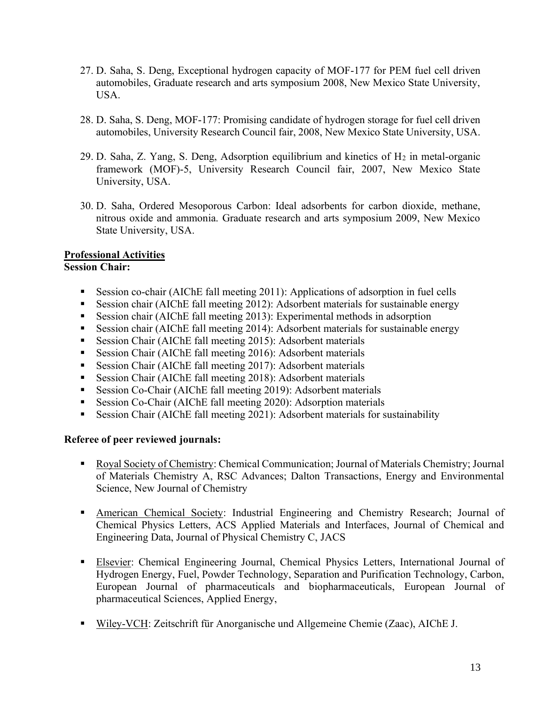- 27. D. Saha, S. Deng, Exceptional hydrogen capacity of MOF-177 for PEM fuel cell driven automobiles, Graduate research and arts symposium 2008, New Mexico State University, USA.
- 28. D. Saha, S. Deng, MOF-177: Promising candidate of hydrogen storage for fuel cell driven automobiles, University Research Council fair, 2008, New Mexico State University, USA.
- 29. D. Saha, Z. Yang, S. Deng, Adsorption equilibrium and kinetics of  $H_2$  in metal-organic framework (MOF)-5, University Research Council fair, 2007, New Mexico State University, USA.
- 30. D. Saha, Ordered Mesoporous Carbon: Ideal adsorbents for carbon dioxide, methane, nitrous oxide and ammonia. Graduate research and arts symposium 2009, New Mexico State University, USA.

#### **Professional Activities Session Chair:**

- Session co-chair (AIChE fall meeting 2011): Applications of adsorption in fuel cells
- Session chair (AIChE fall meeting 2012): Adsorbent materials for sustainable energy
- Session chair (AIChE fall meeting 2013): Experimental methods in adsorption
- Session chair (AIChE fall meeting 2014): Adsorbent materials for sustainable energy
- Session Chair (AIChE fall meeting 2015): Adsorbent materials
- Session Chair (AIChE fall meeting 2016): Adsorbent materials
- Session Chair (AIChE fall meeting 2017): Adsorbent materials
- Session Chair (AIChE fall meeting 2018): Adsorbent materials
- Session Co-Chair (AIChE fall meeting 2019): Adsorbent materials
- Session Co-Chair (AIChE fall meeting 2020): Adsorption materials
- **Example 1** Session Chair (AIChE fall meeting 2021): Adsorbent materials for sustainability

## **Referee of peer reviewed journals:**

- Royal Society of Chemistry: Chemical Communication; Journal of Materials Chemistry; Journal of Materials Chemistry A, RSC Advances; Dalton Transactions, Energy and Environmental Science, New Journal of Chemistry
- **EXECUTE:** American Chemical Society: Industrial Engineering and Chemistry Research; Journal of Chemical Physics Letters, ACS Applied Materials and Interfaces, Journal of Chemical and Engineering Data, Journal of Physical Chemistry C, JACS
- **Elsevier: Chemical Engineering Journal, Chemical Physics Letters, International Journal of** Hydrogen Energy, Fuel, Powder Technology, Separation and Purification Technology, Carbon, European Journal of pharmaceuticals and biopharmaceuticals, European Journal of pharmaceutical Sciences, Applied Energy,
- Wiley-VCH: Zeitschrift für Anorganische und Allgemeine Chemie (Zaac), AIChE J.